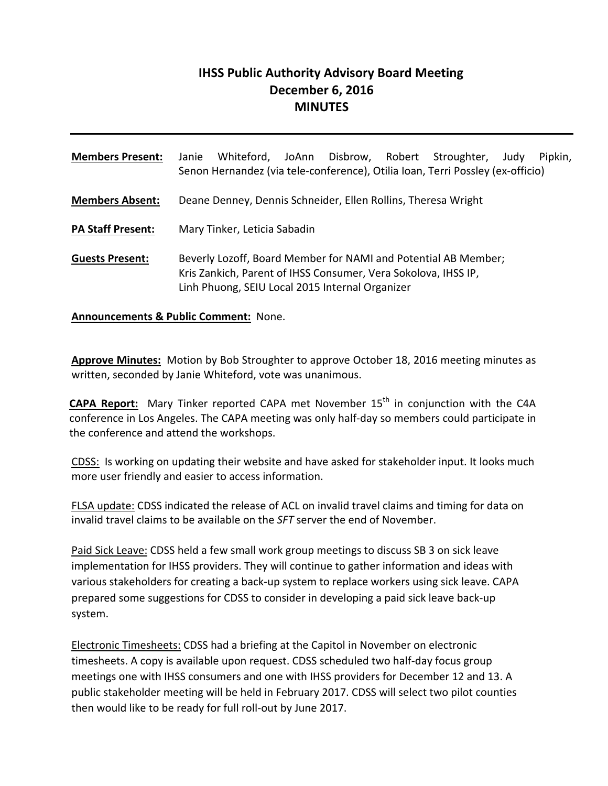# **IHSS Public Authority Advisory Board Meeting December 6, 2016 MINUTES**

**Members Present:** Janie Whiteford, JoAnn Disbrow, Robert Stroughter, Judy Pipkin, Senon Hernandez (via tele‐conference), Otilia Ioan, Terri Possley (ex‐officio) **Members Absent:** Deane Denney, Dennis Schneider, Ellen Rollins, Theresa Wright **PA Staff Present:** Mary Tinker, Leticia Sabadin **Guests Present:** Beverly Lozoff, Board Member for NAMI and Potential AB Member; Kris Zankich, Parent of IHSS Consumer, Vera Sokolova, IHSS IP, Linh Phuong, SEIU Local 2015 Internal Organizer

**Announcements & Public Comment:** None.

**Approve Minutes:** Motion by Bob Stroughter to approve October 18, 2016 meeting minutes as written, seconded by Janie Whiteford, vote was unanimous.

**CAPA Report:** Mary Tinker reported CAPA met November 15<sup>th</sup> in conjunction with the C4A conference in Los Angeles. The CAPA meeting was only half‐day so members could participate in the conference and attend the workshops.

CDSS: Is working on updating their website and have asked for stakeholder input. It looks much more user friendly and easier to access information.

FLSA update: CDSS indicated the release of ACL on invalid travel claims and timing for data on invalid travel claims to be available on the *SFT* server the end of November.

Paid Sick Leave: CDSS held a few small work group meetings to discuss SB 3 on sick leave implementation for IHSS providers. They will continue to gather information and ideas with various stakeholders for creating a back‐up system to replace workers using sick leave. CAPA prepared some suggestions for CDSS to consider in developing a paid sick leave back‐up system.

Electronic Timesheets: CDSS had a briefing at the Capitol in November on electronic timesheets. A copy is available upon request. CDSS scheduled two half‐day focus group meetings one with IHSS consumers and one with IHSS providers for December 12 and 13. A public stakeholder meeting will be held in February 2017. CDSS will select two pilot counties then would like to be ready for full roll‐out by June 2017.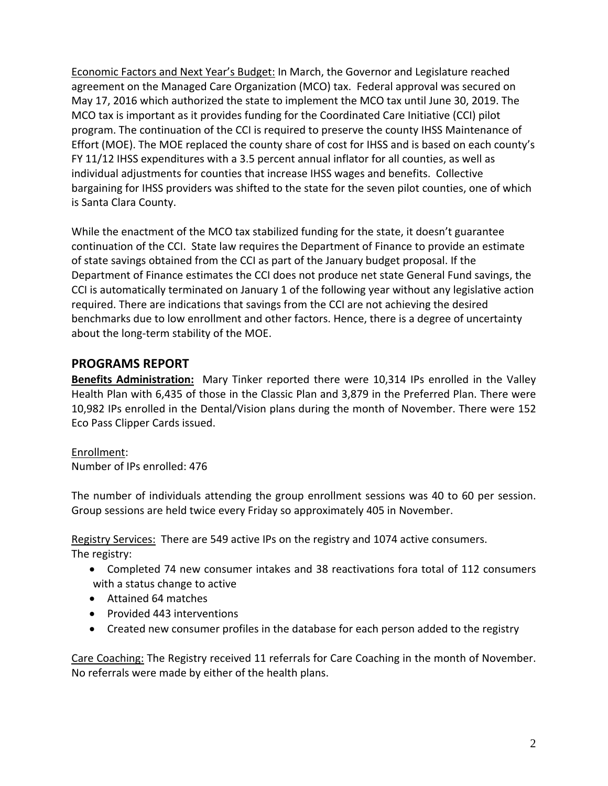Economic Factors and Next Year's Budget: In March, the Governor and Legislature reached agreement on the Managed Care Organization (MCO) tax. Federal approval was secured on May 17, 2016 which authorized the state to implement the MCO tax until June 30, 2019. The MCO tax is important as it provides funding for the Coordinated Care Initiative (CCI) pilot program. The continuation of the CCI is required to preserve the county IHSS Maintenance of Effort (MOE). The MOE replaced the county share of cost for IHSS and is based on each county's FY 11/12 IHSS expenditures with a 3.5 percent annual inflator for all counties, as well as individual adjustments for counties that increase IHSS wages and benefits. Collective bargaining for IHSS providers was shifted to the state for the seven pilot counties, one of which is Santa Clara County.

While the enactment of the MCO tax stabilized funding for the state, it doesn't guarantee continuation of the CCI. State law requires the Department of Finance to provide an estimate of state savings obtained from the CCI as part of the January budget proposal. If the Department of Finance estimates the CCI does not produce net state General Fund savings, the CCI is automatically terminated on January 1 of the following year without any legislative action required. There are indications that savings from the CCI are not achieving the desired benchmarks due to low enrollment and other factors. Hence, there is a degree of uncertainty about the long‐term stability of the MOE.

## **PROGRAMS REPORT**

**Benefits Administration:** Mary Tinker reported there were 10,314 IPs enrolled in the Valley Health Plan with 6,435 of those in the Classic Plan and 3,879 in the Preferred Plan. There were 10,982 IPs enrolled in the Dental/Vision plans during the month of November. There were 152 Eco Pass Clipper Cards issued.

#### Enrollment:

Number of IPs enrolled: 476

The number of individuals attending the group enrollment sessions was 40 to 60 per session. Group sessions are held twice every Friday so approximately 405 in November.

Registry Services: There are 549 active IPs on the registry and 1074 active consumers. The registry:

- Completed 74 new consumer intakes and 38 reactivations fora total of 112 consumers with a status change to active
- Attained 64 matches
- Provided 443 interventions
- Created new consumer profiles in the database for each person added to the registry

Care Coaching: The Registry received 11 referrals for Care Coaching in the month of November. No referrals were made by either of the health plans.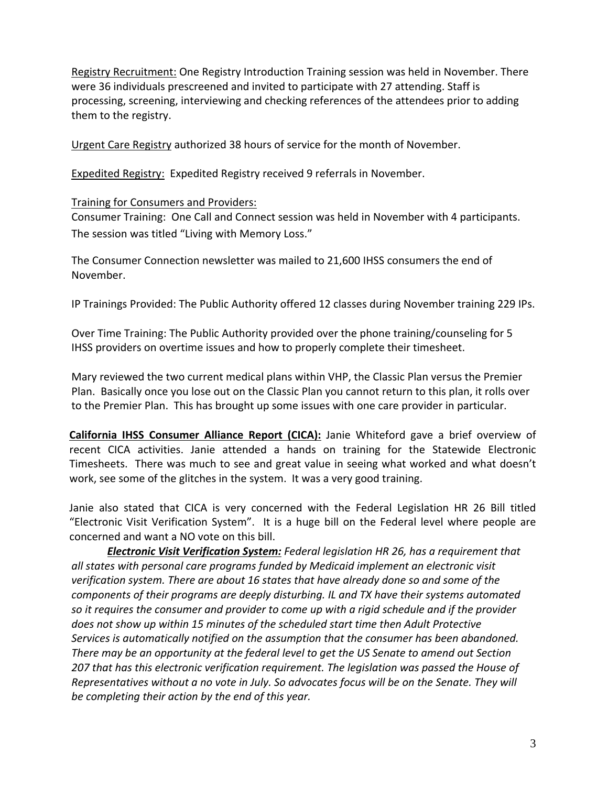Registry Recruitment: One Registry Introduction Training session was held in November. There were 36 individuals prescreened and invited to participate with 27 attending. Staff is processing, screening, interviewing and checking references of the attendees prior to adding them to the registry.

Urgent Care Registry authorized 38 hours of service for the month of November.

Expedited Registry: Expedited Registry received 9 referrals in November.

#### Training for Consumers and Providers:

Consumer Training: One Call and Connect session was held in November with 4 participants. The session was titled "Living with Memory Loss."

The Consumer Connection newsletter was mailed to 21,600 IHSS consumers the end of November.

IP Trainings Provided: The Public Authority offered 12 classes during November training 229 IPs.

Over Time Training: The Public Authority provided over the phone training/counseling for 5 IHSS providers on overtime issues and how to properly complete their timesheet.

Mary reviewed the two current medical plans within VHP, the Classic Plan versus the Premier Plan. Basically once you lose out on the Classic Plan you cannot return to this plan, it rolls over to the Premier Plan. This has brought up some issues with one care provider in particular.

**California IHSS Consumer Alliance Report (CICA):** Janie Whiteford gave a brief overview of recent CICA activities. Janie attended a hands on training for the Statewide Electronic Timesheets. There was much to see and great value in seeing what worked and what doesn't work, see some of the glitches in the system. It was a very good training.

Janie also stated that CICA is very concerned with the Federal Legislation HR 26 Bill titled "Electronic Visit Verification System". It is a huge bill on the Federal level where people are concerned and want a NO vote on this bill.

*Electronic Visit Verification System: Federal legislation HR 26, has a requirement that all states with personal care programs funded by Medicaid implement an electronic visit verification system. There are about 16 states that have already done so and some of the components of their programs are deeply disturbing. IL and TX have their systems automated so it requires the consumer and provider to come up with a rigid schedule and if the provider does not show up within 15 minutes of the scheduled start time then Adult Protective Services is automatically notified on the assumption that the consumer has been abandoned. There may be an opportunity at the federal level to get the US Senate to amend out Section 207 that has this electronic verification requirement. The legislation was passed the House of Representatives without a no vote in July. So advocates focus will be on the Senate. They will be completing their action by the end of this year.*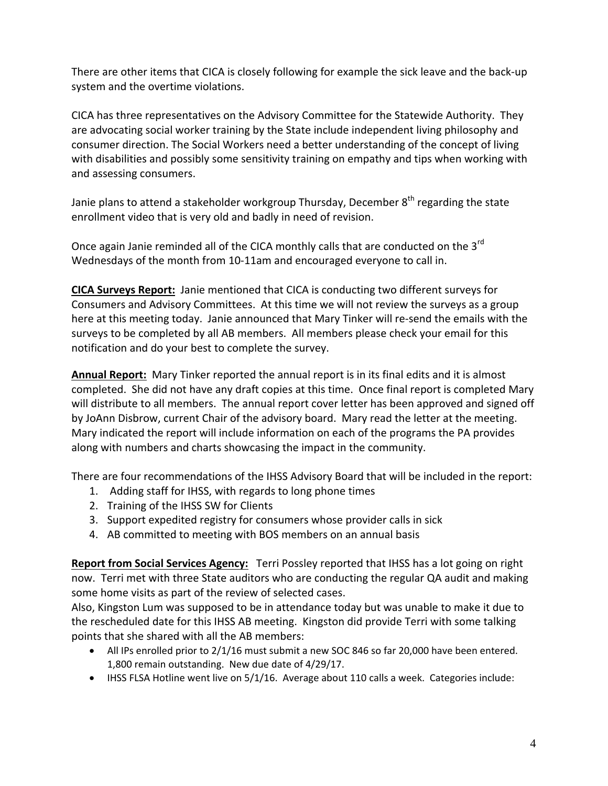There are other items that CICA is closely following for example the sick leave and the back‐up system and the overtime violations.

CICA has three representatives on the Advisory Committee for the Statewide Authority. They are advocating social worker training by the State include independent living philosophy and consumer direction. The Social Workers need a better understanding of the concept of living with disabilities and possibly some sensitivity training on empathy and tips when working with and assessing consumers.

Janie plans to attend a stakeholder workgroup Thursday, December  $8<sup>th</sup>$  regarding the state enrollment video that is very old and badly in need of revision.

Once again Janie reminded all of the CICA monthly calls that are conducted on the 3<sup>rd</sup> Wednesdays of the month from 10‐11am and encouraged everyone to call in.

**CICA Surveys Report:** Janie mentioned that CICA is conducting two different surveys for Consumers and Advisory Committees. At this time we will not review the surveys as a group here at this meeting today. Janie announced that Mary Tinker will re‐send the emails with the surveys to be completed by all AB members. All members please check your email for this notification and do your best to complete the survey.

**Annual Report:** Mary Tinker reported the annual report is in its final edits and it is almost completed. She did not have any draft copies at this time. Once final report is completed Mary will distribute to all members. The annual report cover letter has been approved and signed off by JoAnn Disbrow, current Chair of the advisory board. Mary read the letter at the meeting. Mary indicated the report will include information on each of the programs the PA provides along with numbers and charts showcasing the impact in the community.

There are four recommendations of the IHSS Advisory Board that will be included in the report:

- 1. Adding staff for IHSS, with regards to long phone times
- 2. Training of the IHSS SW for Clients
- 3. Support expedited registry for consumers whose provider calls in sick
- 4. AB committed to meeting with BOS members on an annual basis

**Report from Social Services Agency:** Terri Possley reported that IHSS has a lot going on right now. Terri met with three State auditors who are conducting the regular QA audit and making some home visits as part of the review of selected cases.

Also, Kingston Lum was supposed to be in attendance today but was unable to make it due to the rescheduled date for this IHSS AB meeting. Kingston did provide Terri with some talking points that she shared with all the AB members:

- All IPs enrolled prior to 2/1/16 must submit a new SOC 846 so far 20,000 have been entered. 1,800 remain outstanding. New due date of 4/29/17.
- IHSS FLSA Hotline went live on 5/1/16. Average about 110 calls a week. Categories include: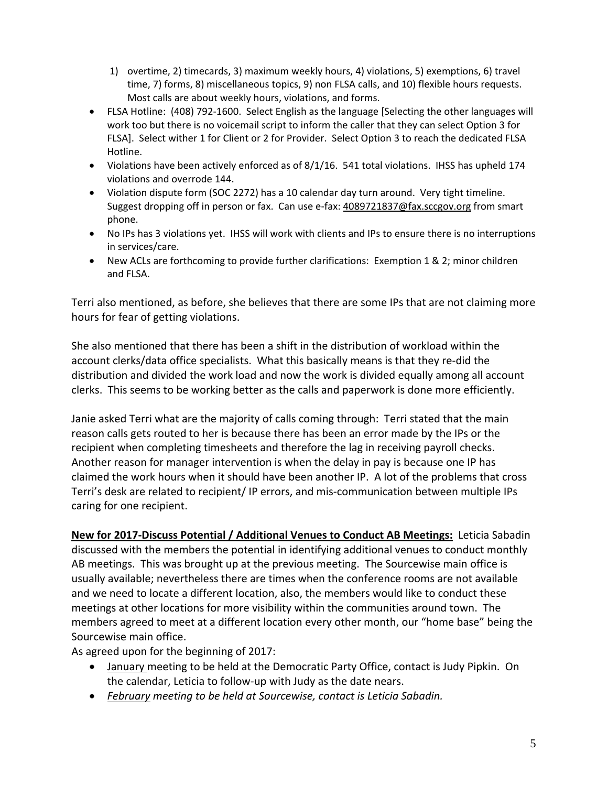- 1) overtime, 2) timecards, 3) maximum weekly hours, 4) violations, 5) exemptions, 6) travel time, 7) forms, 8) miscellaneous topics, 9) non FLSA calls, and 10) flexible hours requests. Most calls are about weekly hours, violations, and forms.
- FLSA Hotline: (408) 792‐1600. Select English as the language [Selecting the other languages will work too but there is no voicemail script to inform the caller that they can select Option 3 for FLSA]. Select wither 1 for Client or 2 for Provider. Select Option 3 to reach the dedicated FLSA Hotline.
- Violations have been actively enforced as of 8/1/16. 541 total violations. IHSS has upheld 174 violations and overrode 144.
- Violation dispute form (SOC 2272) has a 10 calendar day turn around. Very tight timeline. Suggest dropping off in person or fax. Can use e-fax: 4089721837@fax.sccgov.org from smart phone.
- No IPs has 3 violations yet. IHSS will work with clients and IPs to ensure there is no interruptions in services/care.
- New ACLs are forthcoming to provide further clarifications: Exemption 1 & 2; minor children and FLSA.

Terri also mentioned, as before, she believes that there are some IPs that are not claiming more hours for fear of getting violations.

She also mentioned that there has been a shift in the distribution of workload within the account clerks/data office specialists. What this basically means is that they re‐did the distribution and divided the work load and now the work is divided equally among all account clerks. This seems to be working better as the calls and paperwork is done more efficiently.

Janie asked Terri what are the majority of calls coming through: Terri stated that the main reason calls gets routed to her is because there has been an error made by the IPs or the recipient when completing timesheets and therefore the lag in receiving payroll checks. Another reason for manager intervention is when the delay in pay is because one IP has claimed the work hours when it should have been another IP. A lot of the problems that cross Terri's desk are related to recipient/ IP errors, and mis‐communication between multiple IPs caring for one recipient.

**New for 2017‐Discuss Potential / Additional Venues to Conduct AB Meetings:** Leticia Sabadin discussed with the members the potential in identifying additional venues to conduct monthly AB meetings. This was brought up at the previous meeting. The Sourcewise main office is usually available; nevertheless there are times when the conference rooms are not available and we need to locate a different location, also, the members would like to conduct these meetings at other locations for more visibility within the communities around town. The members agreed to meet at a different location every other month, our "home base" being the Sourcewise main office.

As agreed upon for the beginning of 2017:

- January meeting to be held at the Democratic Party Office, contact is Judy Pipkin. On the calendar, Leticia to follow‐up with Judy as the date nears.
- *February meeting to be held at Sourcewise, contact is Leticia Sabadin.*